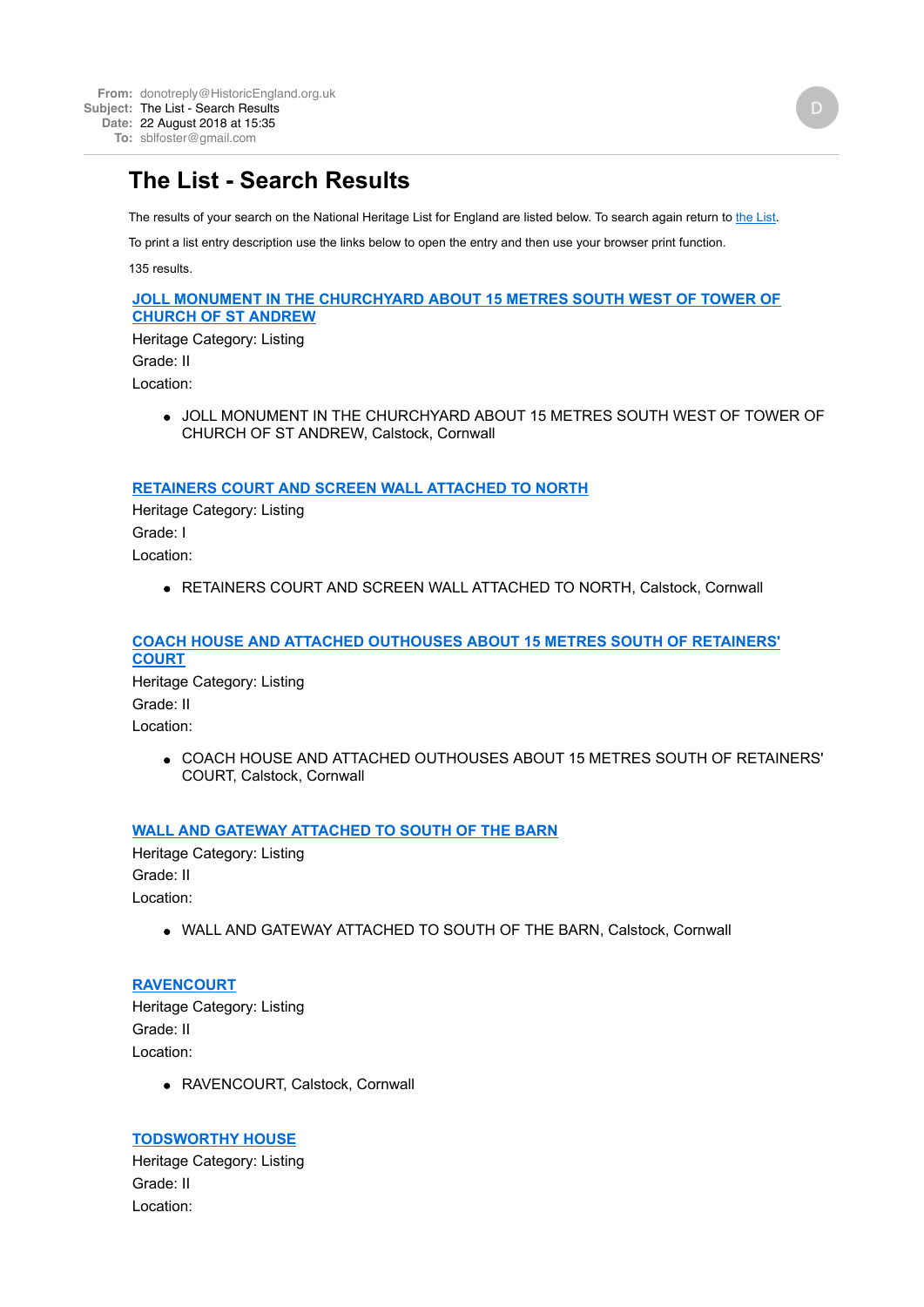# **The List - Search Results**

The results of your search on the National Heritage List for England are listed below. To search again return to [the List.](http://www.historicengland.org.uk/listing/the-list/)

To print a list entry description use the links below to open the entry and then use your browser print function.

135 results.

#### **[JOLL MONUMENT IN THE CHURCHYARD ABOUT 15 METRES SOUTH WEST OF TOWER OF](http://www.historicengland.org.uk/listing/the-list/list-entry/1137965) CHURCH OF ST ANDREW**

Heritage Category: Listing Grade: II Location:

> JOLL MONUMENT IN THE CHURCHYARD ABOUT 15 METRES SOUTH WEST OF TOWER OF CHURCH OF ST ANDREW, Calstock, Cornwall

#### **[RETAINERS COURT AND SCREEN WALL ATTACHED TO NORTH](http://www.historicengland.org.uk/listing/the-list/list-entry/1138043)**

Heritage Category: Listing Grade: I Location:

. RETAINERS COURT AND SCREEN WALL ATTACHED TO NORTH, Calstock, Cornwall

### **[COACH HOUSE AND ATTACHED OUTHOUSES ABOUT 15 METRES SOUTH OF RETAINERS'](http://www.historicengland.org.uk/listing/the-list/list-entry/1138080) COURT**

Heritage Category: Listing Grade: II Location:

> COACH HOUSE AND ATTACHED OUTHOUSES ABOUT 15 METRES SOUTH OF RETAINERS' COURT, Calstock, Cornwall

### **[WALL AND GATEWAY ATTACHED TO SOUTH OF THE BARN](http://www.historicengland.org.uk/listing/the-list/list-entry/1138098)**

Heritage Category: Listing Grade: II Location:

WALL AND GATEWAY ATTACHED TO SOUTH OF THE BARN, Calstock, Cornwall

**[RAVENCOURT](http://www.historicengland.org.uk/listing/the-list/list-entry/1138255)** Heritage Category: Listing Grade: II Location:

RAVENCOURT, Calstock, Cornwall

### **[TODSWORTHY HOUSE](http://www.historicengland.org.uk/listing/the-list/list-entry/1138267)**

Heritage Category: Listing Grade: II Location: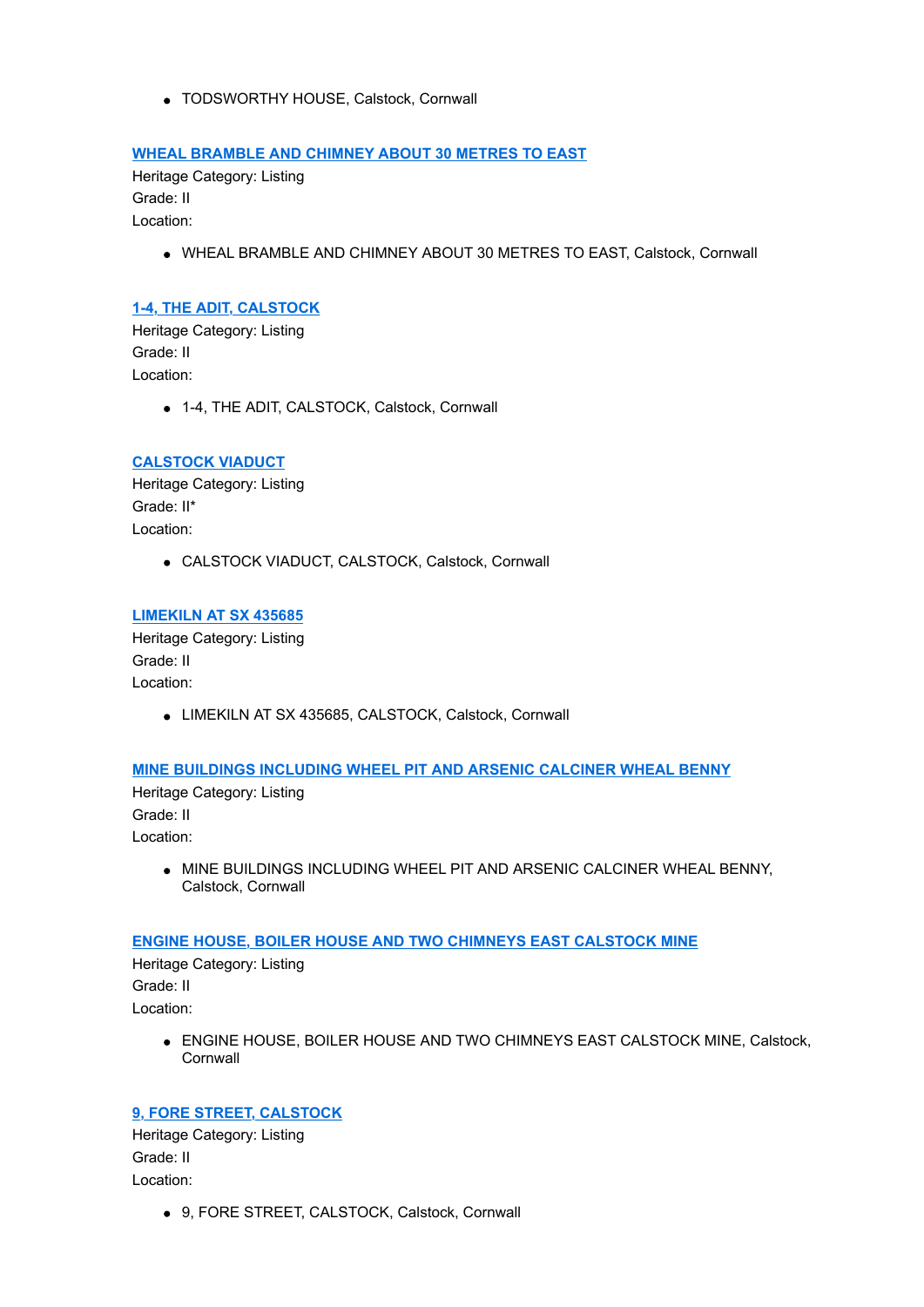TODSWORTHY HOUSE, Calstock, Cornwall

### **[WHEAL BRAMBLE AND CHIMNEY ABOUT 30 METRES TO EAST](http://www.historicengland.org.uk/listing/the-list/list-entry/1138276)**

Heritage Category: Listing Grade: II Location:

WHEAL BRAMBLE AND CHIMNEY ABOUT 30 METRES TO EAST, Calstock, Cornwall

### **[1-4, THE ADIT, CALSTOCK](http://www.historicengland.org.uk/listing/the-list/list-entry/1138287)**

Heritage Category: Listing Grade: II Location:

1-4, THE ADIT, CALSTOCK, Calstock, Cornwall

### **[CALSTOCK VIADUCT](http://www.historicengland.org.uk/listing/the-list/list-entry/1138329)**

Heritage Category: Listing Grade: II\* Location:

CALSTOCK VIADUCT, CALSTOCK, Calstock, Cornwall

#### **[LIMEKILN AT SX 435685](http://www.historicengland.org.uk/listing/the-list/list-entry/1138352)**

Heritage Category: Listing Grade: II Location:

LIMEKILN AT SX 435685, CALSTOCK, Calstock, Cornwall

### **[MINE BUILDINGS INCLUDING WHEEL PIT AND ARSENIC CALCINER WHEAL BENNY](http://www.historicengland.org.uk/listing/the-list/list-entry/1140178)**

Heritage Category: Listing Grade: II Location:

> $\bullet$  MINE BUILDINGS INCLUDING WHEEL PIT AND ARSENIC CALCINER WHEAL BENNY, Calstock, Cornwall

### **[ENGINE HOUSE, BOILER HOUSE AND TWO CHIMNEYS EAST CALSTOCK MINE](http://www.historicengland.org.uk/listing/the-list/list-entry/1140198)**

Heritage Category: Listing Grade: II Location:

> ENGINE HOUSE, BOILER HOUSE AND TWO CHIMNEYS EAST CALSTOCK MINE, Calstock, **Cornwall**

# **[9, FORE STREET, CALSTOCK](http://www.historicengland.org.uk/listing/the-list/list-entry/1140199)**

Heritage Category: Listing Grade: II Location:

9, FORE STREET, CALSTOCK, Calstock, Cornwall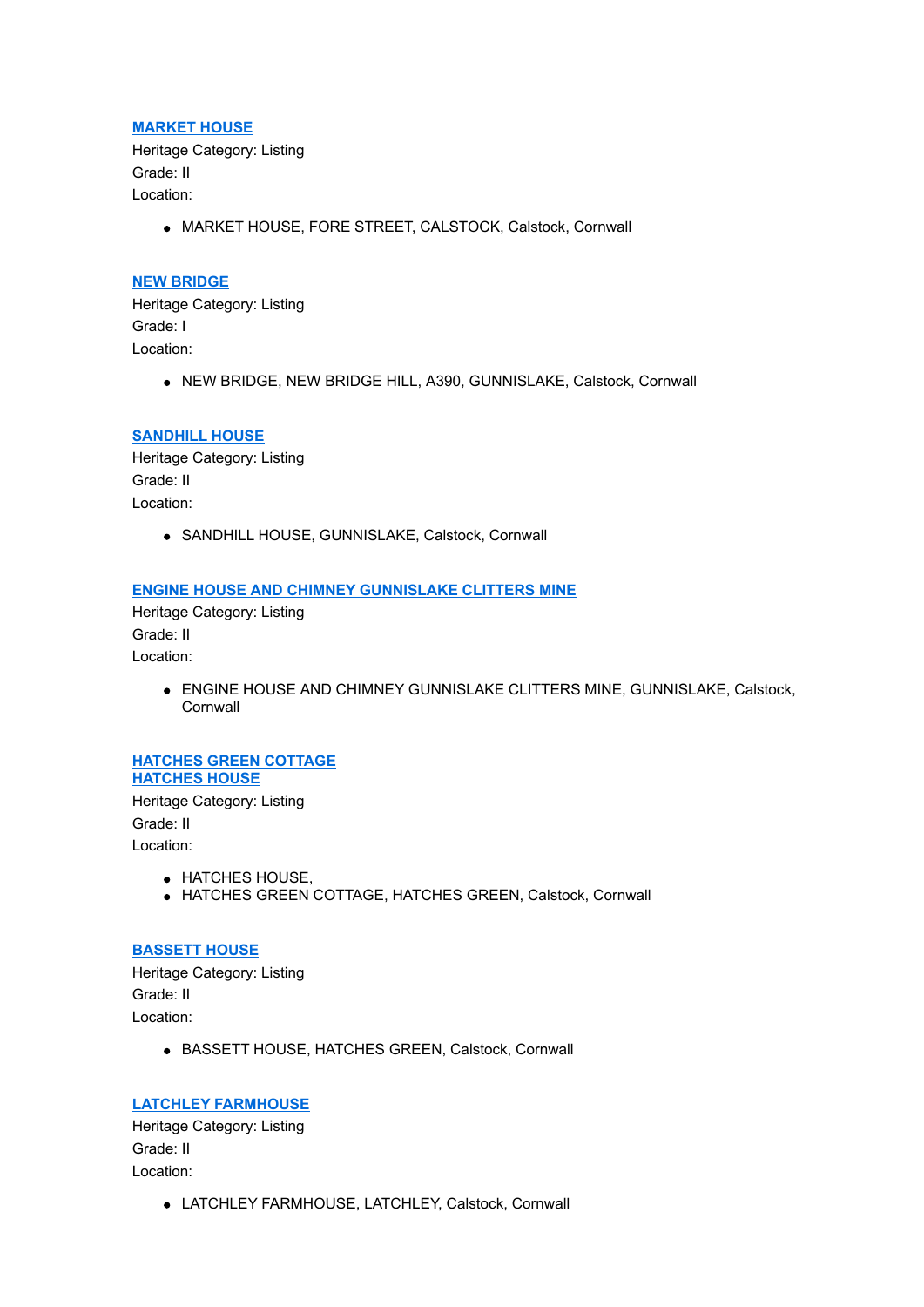### **[MARKET HOUSE](http://www.historicengland.org.uk/listing/the-list/list-entry/1140200)**

Heritage Category: Listing Grade: II Location:

MARKET HOUSE, FORE STREET, CALSTOCK, Calstock, Cornwall

#### **[NEW BRIDGE](http://www.historicengland.org.uk/listing/the-list/list-entry/1140201)**

Heritage Category: Listing Grade: I Location:

NEW BRIDGE, NEW BRIDGE HILL, A390, GUNNISLAKE, Calstock, Cornwall

#### **[SANDHILL HOUSE](http://www.historicengland.org.uk/listing/the-list/list-entry/1140202)**

Heritage Category: Listing Grade: II Location:

SANDHILL HOUSE, GUNNISLAKE, Calstock, Cornwall

#### **[ENGINE HOUSE AND CHIMNEY GUNNISLAKE CLITTERS MINE](http://www.historicengland.org.uk/listing/the-list/list-entry/1140203)**

Heritage Category: Listing Grade: II Location:

> **ENGINE HOUSE AND CHIMNEY GUNNISLAKE CLITTERS MINE, GUNNISLAKE, Calstock, Cornwall**

# **[HATCHES GREEN COTTAGE](http://www.historicengland.org.uk/listing/the-list/list-entry/1140204) HATCHES HOUSE** Heritage Category: Listing

Grade: II Location:

- **HATCHES HOUSE,**
- HATCHES GREEN COTTAGE, HATCHES GREEN, Calstock, Cornwall

#### **[BASSETT HOUSE](http://www.historicengland.org.uk/listing/the-list/list-entry/1140205)**

Heritage Category: Listing Grade: II Location:

BASSETT HOUSE, HATCHES GREEN, Calstock, Cornwall

### **[LATCHLEY FARMHOUSE](http://www.historicengland.org.uk/listing/the-list/list-entry/1140206)**

Heritage Category: Listing Grade: II Location:

LATCHLEY FARMHOUSE, LATCHLEY, Calstock, Cornwall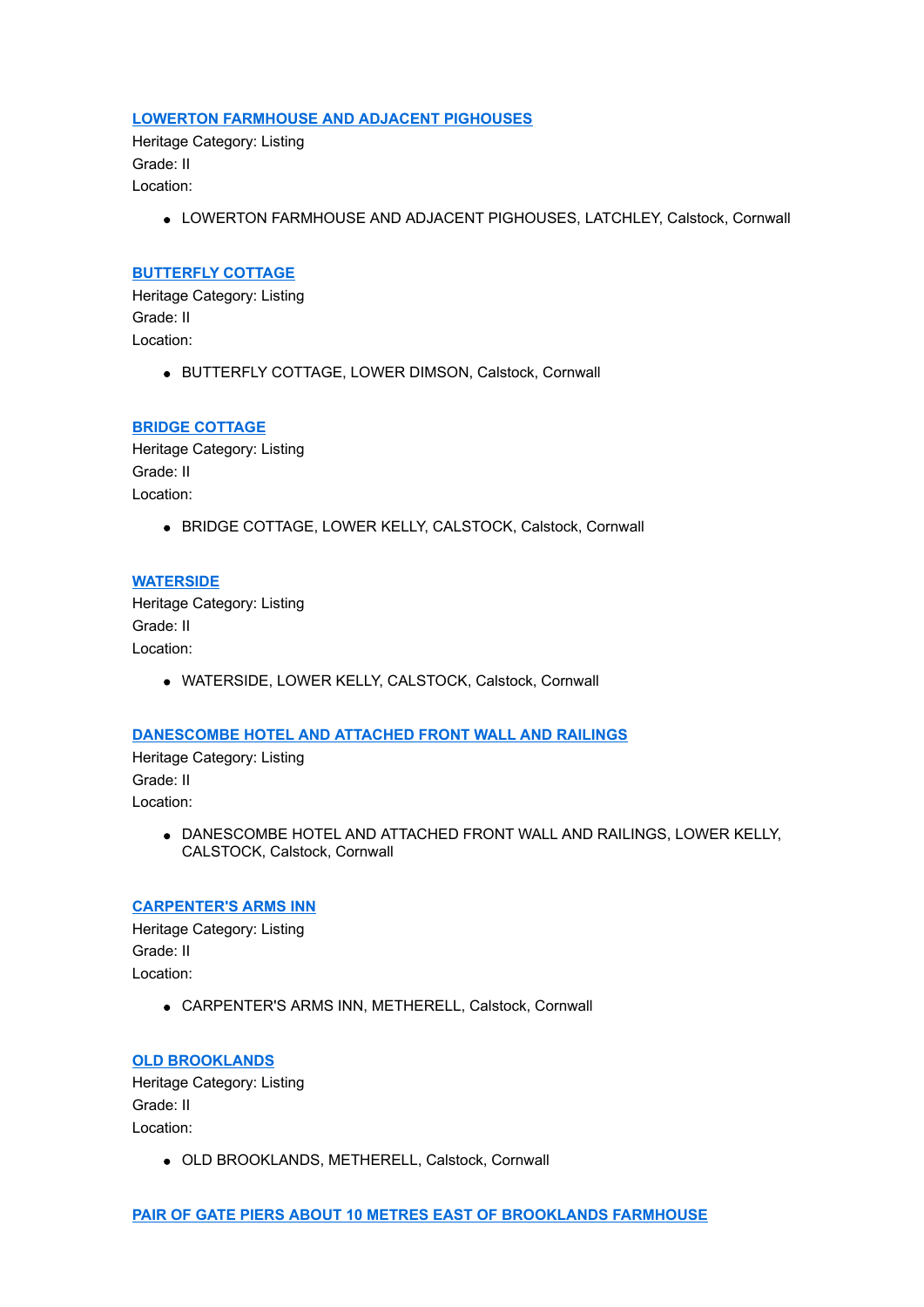#### **[LOWERTON FARMHOUSE AND ADJACENT PIGHOUSES](http://www.historicengland.org.uk/listing/the-list/list-entry/1140207)**

Heritage Category: Listing Grade: II Location:

LOWERTON FARMHOUSE AND ADJACENT PIGHOUSES, LATCHLEY, Calstock, Cornwall

#### **[BUTTERFLY COTTAGE](http://www.historicengland.org.uk/listing/the-list/list-entry/1140208)**

Heritage Category: Listing Grade: II Location:

BUTTERFLY COTTAGE, LOWER DIMSON, Calstock, Cornwall

#### **[BRIDGE COTTAGE](http://www.historicengland.org.uk/listing/the-list/list-entry/1140209)**

Heritage Category: Listing Grade: II Location:

BRIDGE COTTAGE, LOWER KELLY, CALSTOCK, Calstock, Cornwall

#### **[WATERSIDE](http://www.historicengland.org.uk/listing/the-list/list-entry/1140210)**

Heritage Category: Listing Grade: II Location:

WATERSIDE, LOWER KELLY, CALSTOCK, Calstock, Cornwall

#### **[DANESCOMBE HOTEL AND ATTACHED FRONT WALL AND RAILINGS](http://www.historicengland.org.uk/listing/the-list/list-entry/1140211)**

Heritage Category: Listing Grade: II Location:

> DANESCOMBE HOTEL AND ATTACHED FRONT WALL AND RAILINGS, LOWER KELLY, CALSTOCK, Calstock, Cornwall

#### **[CARPENTER'S ARMS INN](http://www.historicengland.org.uk/listing/the-list/list-entry/1140212)**

Heritage Category: Listing Grade: II Location:

CARPENTER'S ARMS INN, METHERELL, Calstock, Cornwall

### **[OLD BROOKLANDS](http://www.historicengland.org.uk/listing/the-list/list-entry/1140213)**

Heritage Category: Listing Grade: II Location:

OLD BROOKLANDS, METHERELL, Calstock, Cornwall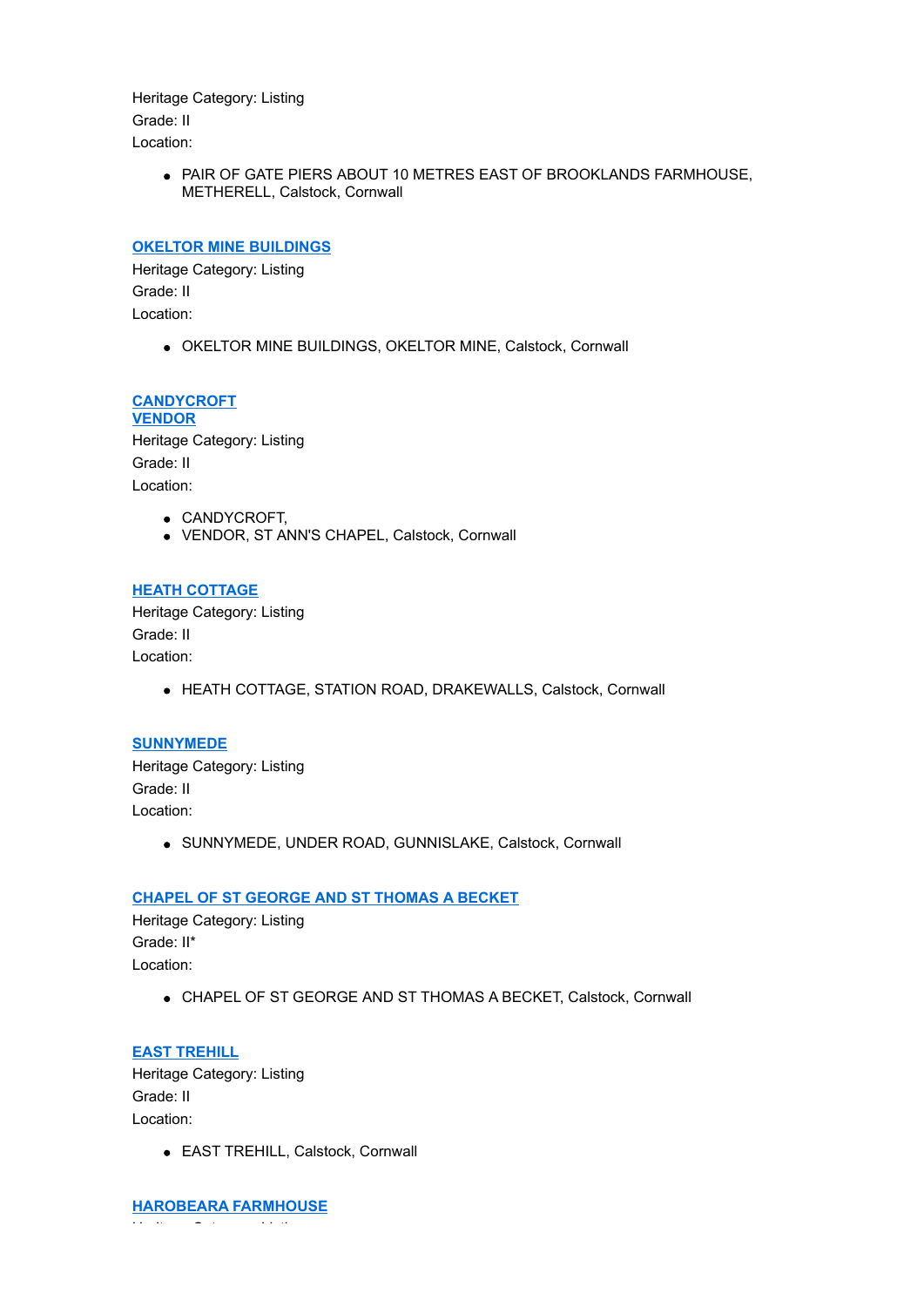Heritage Category: Listing Grade: II Location:

> PAIR OF GATE PIERS ABOUT 10 METRES EAST OF BROOKLANDS FARMHOUSE, METHERELL, Calstock, Cornwall

#### **[OKELTOR MINE BUILDINGS](http://www.historicengland.org.uk/listing/the-list/list-entry/1140215)**

Heritage Category: Listing Grade: II Location:

OKELTOR MINE BUILDINGS, OKELTOR MINE, Calstock, Cornwall

**[CANDYCROFT](http://www.historicengland.org.uk/listing/the-list/list-entry/1140216) VENDOR** Heritage Category: Listing Grade: II Location:

- CANDYCROFT,
- VENDOR, ST ANN'S CHAPEL, Calstock, Cornwall

#### **[HEATH COTTAGE](http://www.historicengland.org.uk/listing/the-list/list-entry/1140217)**

Heritage Category: Listing Grade: II Location:

HEATH COTTAGE, STATION ROAD, DRAKEWALLS, Calstock, Cornwall

#### **[SUNNYMEDE](http://www.historicengland.org.uk/listing/the-list/list-entry/1140218)**

Heritage Category: Listing Grade: II Location:

SUNNYMEDE, UNDER ROAD, GUNNISLAKE, Calstock, Cornwall

#### **[CHAPEL OF ST GEORGE AND ST THOMAS A BECKET](http://www.historicengland.org.uk/listing/the-list/list-entry/1140219)**

Heritage Category: Listing Grade: II\* Location:

CHAPEL OF ST GEORGE AND ST THOMAS A BECKET, Calstock, Cornwall

**[EAST TREHILL](http://www.historicengland.org.uk/listing/the-list/list-entry/1140220)** Heritage Category: Listing Grade: II Location:

EAST TREHILL, Calstock, Cornwall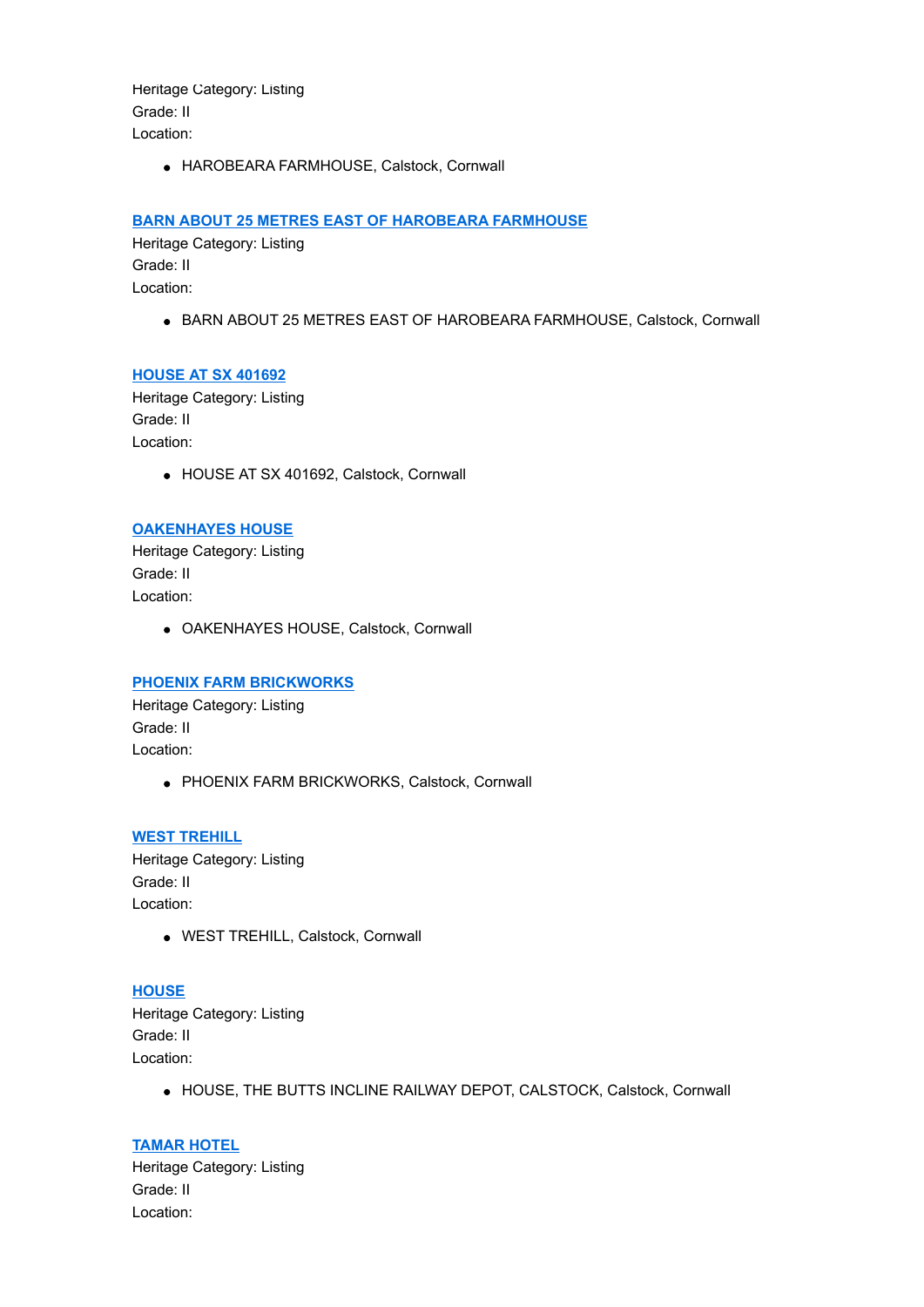Heritage Category: Listing Grade: II Location:

HAROBEARA FARMHOUSE, Calstock, Cornwall

### **[BARN ABOUT 25 METRES EAST OF HAROBEARA FARMHOUSE](http://www.historicengland.org.uk/listing/the-list/list-entry/1140222)**

Heritage Category: Listing Grade: II Location:

**• BARN ABOUT 25 METRES EAST OF HAROBEARA FARMHOUSE, Calstock, Cornwall** 

### **[HOUSE AT SX 401692](http://www.historicengland.org.uk/listing/the-list/list-entry/1140223)**

Heritage Category: Listing Grade: II Location:

HOUSE AT SX 401692, Calstock, Cornwall

### **[OAKENHAYES HOUSE](http://www.historicengland.org.uk/listing/the-list/list-entry/1140224)**

Heritage Category: Listing Grade: II Location:

OAKENHAYES HOUSE, Calstock, Cornwall

### **[PHOENIX FARM BRICKWORKS](http://www.historicengland.org.uk/listing/the-list/list-entry/1140225)**

Heritage Category: Listing Grade: II Location:

• PHOENIX FARM BRICKWORKS, Calstock, Cornwall

**[WEST TREHILL](http://www.historicengland.org.uk/listing/the-list/list-entry/1140226)** Heritage Category: Listing Grade: II Location:

WEST TREHILL, Calstock, Cornwall

# **[HOUSE](http://www.historicengland.org.uk/listing/the-list/list-entry/1140227)**

Heritage Category: Listing Grade: II Location:

HOUSE, THE BUTTS INCLINE RAILWAY DEPOT, CALSTOCK, Calstock, Cornwall

# **[TAMAR HOTEL](http://www.historicengland.org.uk/listing/the-list/list-entry/1140228)**

Heritage Category: Listing Grade: II Location: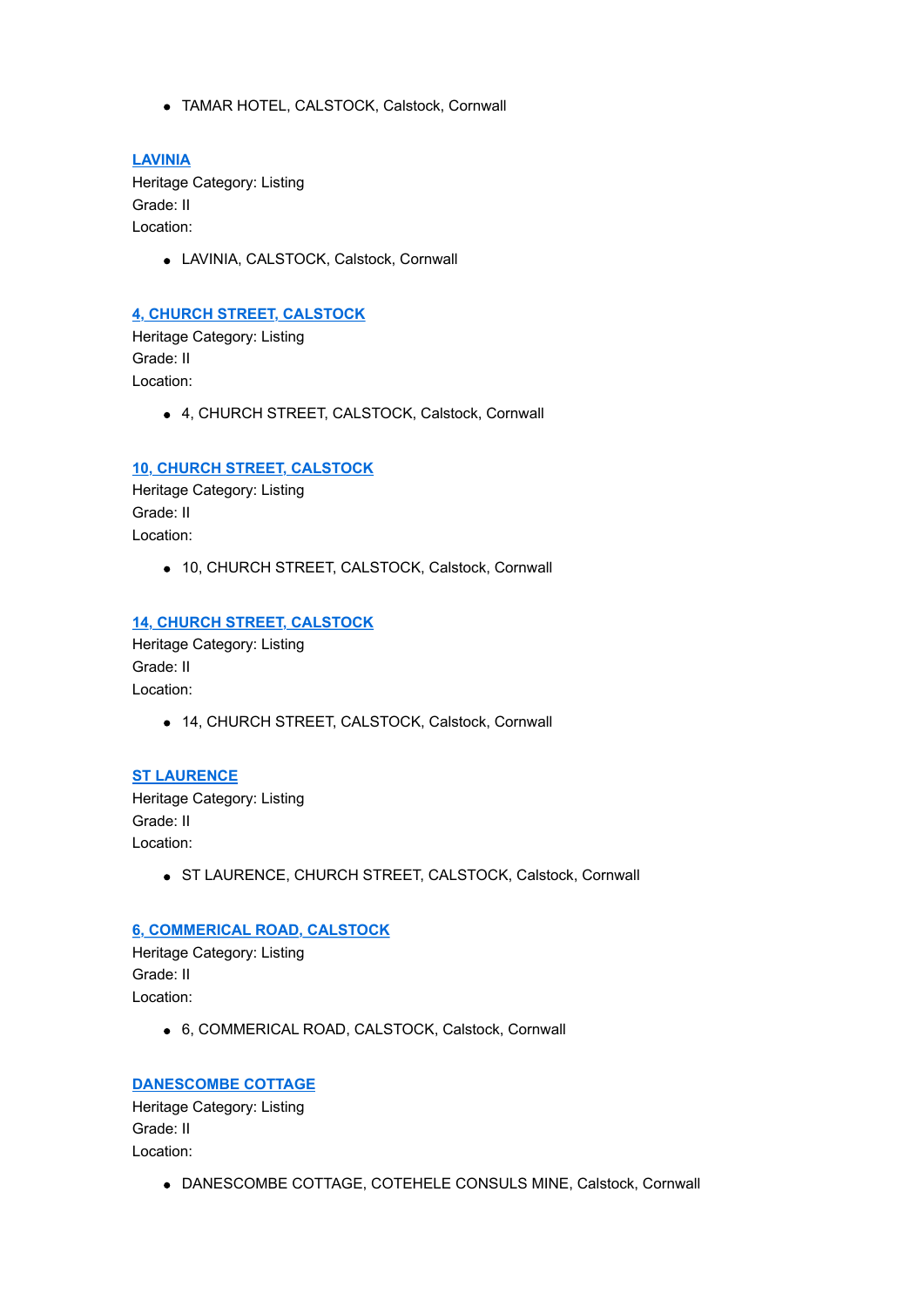TAMAR HOTEL, CALSTOCK, Calstock, Cornwall

### **[LAVINIA](http://www.historicengland.org.uk/listing/the-list/list-entry/1140229)**

Heritage Category: Listing Grade: II Location:

LAVINIA, CALSTOCK, Calstock, Cornwall

### **[4, CHURCH STREET, CALSTOCK](http://www.historicengland.org.uk/listing/the-list/list-entry/1140230)**

Heritage Category: Listing Grade: II Location:

4, CHURCH STREET, CALSTOCK, Calstock, Cornwall

### **[10, CHURCH STREET, CALSTOCK](http://www.historicengland.org.uk/listing/the-list/list-entry/1140231)**

Heritage Category: Listing Grade: II Location:

10, CHURCH STREET, CALSTOCK, Calstock, Cornwall

#### **[14, CHURCH STREET, CALSTOCK](http://www.historicengland.org.uk/listing/the-list/list-entry/1140232)**

Heritage Category: Listing Grade: II Location:

14, CHURCH STREET, CALSTOCK, Calstock, Cornwall

**[ST LAURENCE](http://www.historicengland.org.uk/listing/the-list/list-entry/1140233)** Heritage Category: Listing Grade: II Location:

• ST LAURENCE, CHURCH STREET, CALSTOCK, Calstock, Cornwall

# **[6, COMMERICAL ROAD, CALSTOCK](http://www.historicengland.org.uk/listing/the-list/list-entry/1140234)**

Heritage Category: Listing Grade: II Location:

6, COMMERICAL ROAD, CALSTOCK, Calstock, Cornwall

#### **[DANESCOMBE COTTAGE](http://www.historicengland.org.uk/listing/the-list/list-entry/1140235)**

Heritage Category: Listing Grade: II Location:

DANESCOMBE COTTAGE, COTEHELE CONSULS MINE, Calstock, Cornwall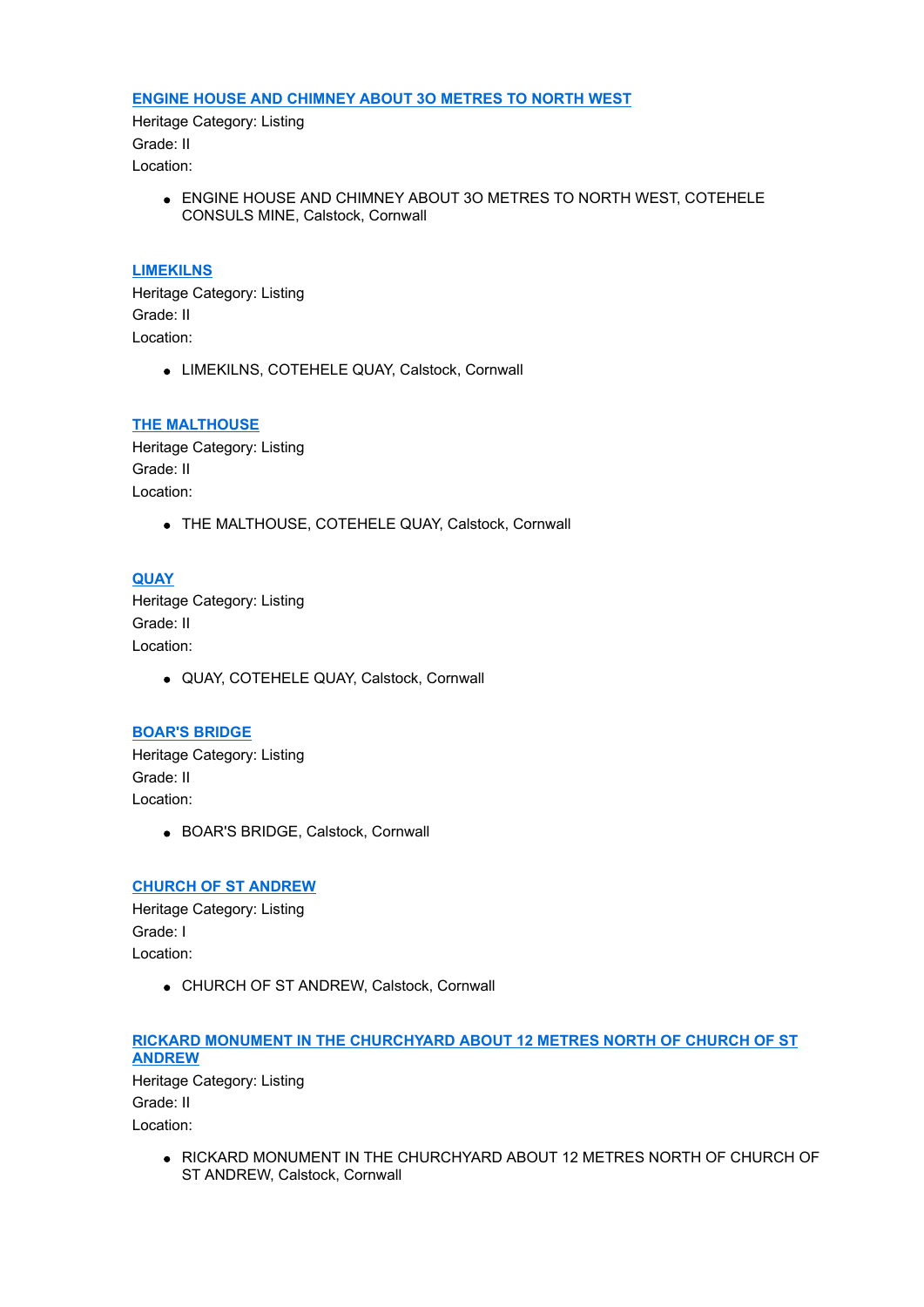#### **[ENGINE HOUSE AND CHIMNEY ABOUT 3O METRES TO NORTH WEST](http://www.historicengland.org.uk/listing/the-list/list-entry/1140236)**

Heritage Category: Listing Grade: II Location:

> ENGINE HOUSE AND CHIMNEY ABOUT 3O METRES TO NORTH WEST, COTEHELE CONSULS MINE, Calstock, Cornwall

#### **[LIMEKILNS](http://www.historicengland.org.uk/listing/the-list/list-entry/1140237)**

Heritage Category: Listing Grade: II Location:

LIMEKILNS, COTEHELE QUAY, Calstock, Cornwall

#### **[THE MALTHOUSE](http://www.historicengland.org.uk/listing/the-list/list-entry/1140238)**

Heritage Category: Listing Grade: II Location:

THE MALTHOUSE, COTEHELE QUAY, Calstock, Cornwall

#### **[QUAY](http://www.historicengland.org.uk/listing/the-list/list-entry/1140239)**

Heritage Category: Listing Grade: II Location:

QUAY, COTEHELE QUAY, Calstock, Cornwall

### **[BOAR'S BRIDGE](http://www.historicengland.org.uk/listing/the-list/list-entry/1140251)**

Heritage Category: Listing Grade: II Location:

BOAR'S BRIDGE, Calstock, Cornwall

### **[CHURCH OF ST ANDREW](http://www.historicengland.org.uk/listing/the-list/list-entry/1140252)**

Heritage Category: Listing Grade: I Location:

CHURCH OF ST ANDREW, Calstock, Cornwall

# **[RICKARD MONUMENT IN THE CHURCHYARD ABOUT 12 METRES NORTH OF CHURCH OF ST](http://www.historicengland.org.uk/listing/the-list/list-entry/1140253) ANDREW**

Heritage Category: Listing Grade: II Location:

> . RICKARD MONUMENT IN THE CHURCHYARD ABOUT 12 METRES NORTH OF CHURCH OF ST ANDREW, Calstock, Cornwall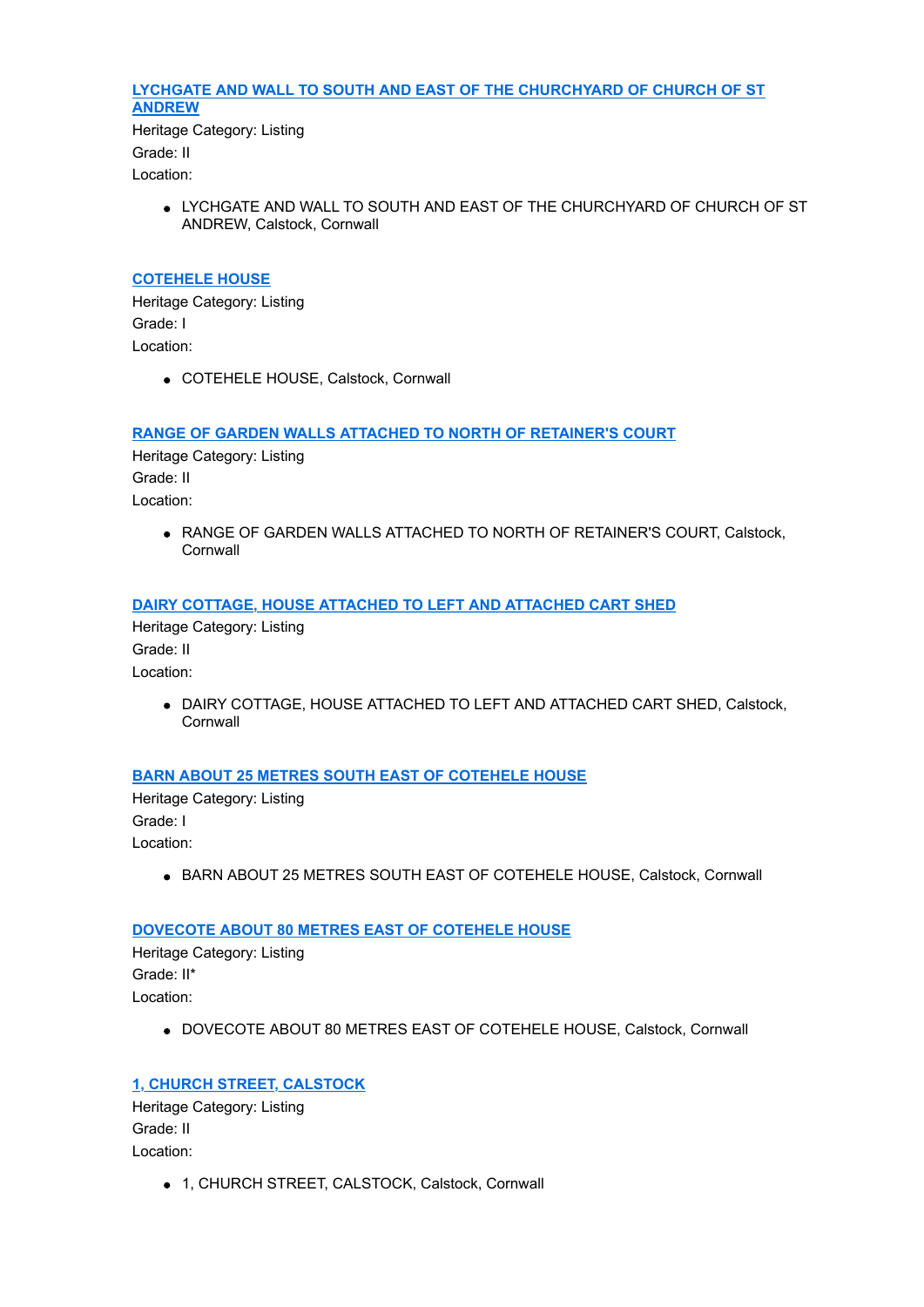# **[LYCHGATE AND WALL TO SOUTH AND EAST OF THE CHURCHYARD OF CHURCH OF ST](http://www.historicengland.org.uk/listing/the-list/list-entry/1140254) ANDREW**

Heritage Category: Listing Grade: II Location:

> LYCHGATE AND WALL TO SOUTH AND EAST OF THE CHURCHYARD OF CHURCH OF ST ANDREW, Calstock, Cornwall

### **[COTEHELE HOUSE](http://www.historicengland.org.uk/listing/the-list/list-entry/1140255)**

Heritage Category: Listing Grade: I Location:

COTEHELE HOUSE, Calstock, Cornwall

### **[RANGE OF GARDEN WALLS ATTACHED TO NORTH OF RETAINER'S COURT](http://www.historicengland.org.uk/listing/the-list/list-entry/1140256)**

Heritage Category: Listing Grade: II Location:

> RANGE OF GARDEN WALLS ATTACHED TO NORTH OF RETAINER'S COURT, Calstock, **Cornwall**

### **[DAIRY COTTAGE, HOUSE ATTACHED TO LEFT AND ATTACHED CART SHED](http://www.historicengland.org.uk/listing/the-list/list-entry/1140257)**

Heritage Category: Listing Grade: II Location:

> DAIRY COTTAGE, HOUSE ATTACHED TO LEFT AND ATTACHED CART SHED, Calstock, **Cornwall**

### **[BARN ABOUT 25 METRES SOUTH EAST OF COTEHELE HOUSE](http://www.historicengland.org.uk/listing/the-list/list-entry/1140258)**

Heritage Category: Listing Grade: I Location:

**• BARN ABOUT 25 METRES SOUTH EAST OF COTEHELE HOUSE, Calstock, Cornwall** 

### **[DOVECOTE ABOUT 80 METRES EAST OF COTEHELE HOUSE](http://www.historicengland.org.uk/listing/the-list/list-entry/1140259)**

Heritage Category: Listing Grade: II\* Location:

DOVECOTE ABOUT 80 METRES EAST OF COTEHELE HOUSE, Calstock, Cornwall

### **[1, CHURCH STREET, CALSTOCK](http://www.historicengland.org.uk/listing/the-list/list-entry/1146326)**

Heritage Category: Listing Grade: II Location:

1, CHURCH STREET, CALSTOCK, Calstock, Cornwall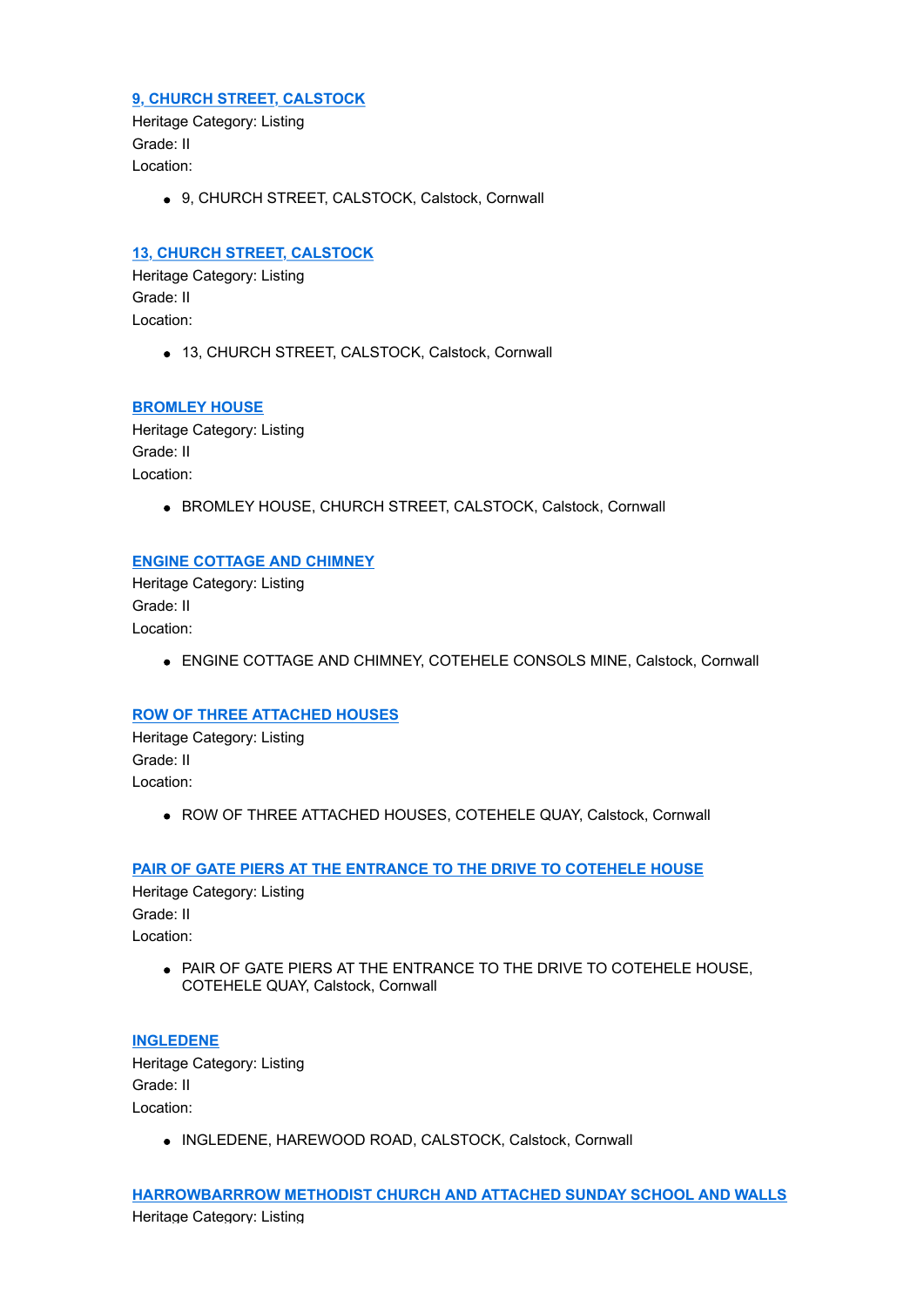### **[9, CHURCH STREET, CALSTOCK](http://www.historicengland.org.uk/listing/the-list/list-entry/1146365)**

Heritage Category: Listing Grade: II Location:

9, CHURCH STREET, CALSTOCK, Calstock, Cornwall

# **[13, CHURCH STREET, CALSTOCK](http://www.historicengland.org.uk/listing/the-list/list-entry/1146375)**

Heritage Category: Listing Grade: II Location:

• 13, CHURCH STREET, CALSTOCK, Calstock, Cornwall

### **[BROMLEY HOUSE](http://www.historicengland.org.uk/listing/the-list/list-entry/1146387)**

Heritage Category: Listing Grade: II Location:

BROMLEY HOUSE, CHURCH STREET, CALSTOCK, Calstock, Cornwall

### **[ENGINE COTTAGE AND CHIMNEY](http://www.historicengland.org.uk/listing/the-list/list-entry/1146468)**

Heritage Category: Listing Grade: II Location:

ENGINE COTTAGE AND CHIMNEY, COTEHELE CONSOLS MINE, Calstock, Cornwall

### **[ROW OF THREE ATTACHED HOUSES](http://www.historicengland.org.uk/listing/the-list/list-entry/1146505)**

Heritage Category: Listing Grade: II Location:

ROW OF THREE ATTACHED HOUSES, COTEHELE QUAY, Calstock, Cornwall

### **[PAIR OF GATE PIERS AT THE ENTRANCE TO THE DRIVE TO COTEHELE HOUSE](http://www.historicengland.org.uk/listing/the-list/list-entry/1146523)**

Heritage Category: Listing Grade: II Location:

> PAIR OF GATE PIERS AT THE ENTRANCE TO THE DRIVE TO COTEHELE HOUSE, COTEHELE QUAY, Calstock, Cornwall

### **[INGLEDENE](http://www.historicengland.org.uk/listing/the-list/list-entry/1157956)**

Heritage Category: Listing Grade: II Location:

INGLEDENE, HAREWOOD ROAD, CALSTOCK, Calstock, Cornwall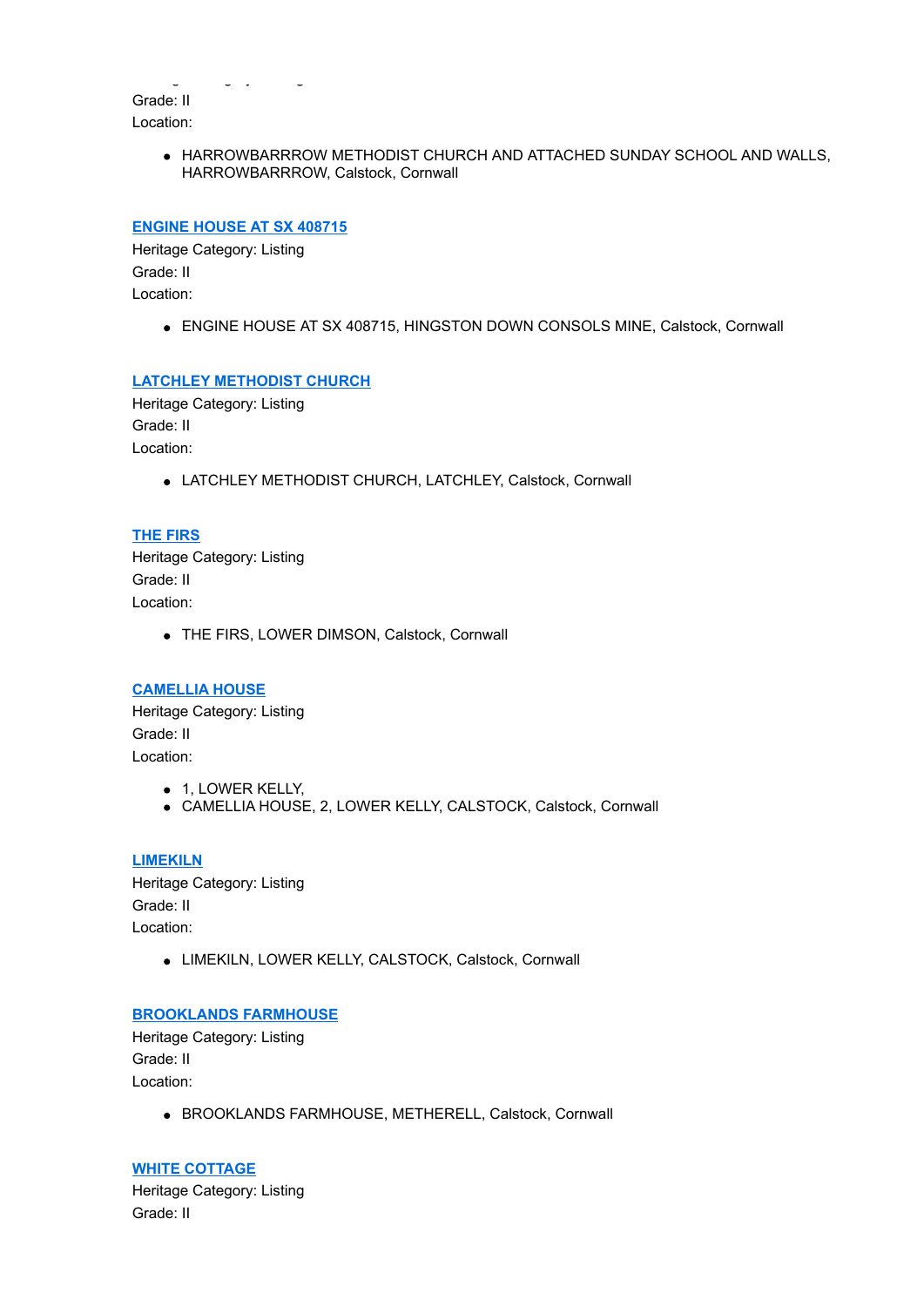Heritage Category: Listing Grade: II Location:

> HARROWBARRROW METHODIST CHURCH AND ATTACHED SUNDAY SCHOOL AND WALLS, HARROWBARRROW, Calstock, Cornwall

# **[ENGINE HOUSE AT SX 408715](http://www.historicengland.org.uk/listing/the-list/list-entry/1157991)**

Heritage Category: Listing Grade: II Location:

ENGINE HOUSE AT SX 408715, HINGSTON DOWN CONSOLS MINE, Calstock, Cornwall

### **[LATCHLEY METHODIST CHURCH](http://www.historicengland.org.uk/listing/the-list/list-entry/1158035)**

Heritage Category: Listing Grade: II

Location:

LATCHLEY METHODIST CHURCH, LATCHLEY, Calstock, Cornwall

### **[THE FIRS](http://www.historicengland.org.uk/listing/the-list/list-entry/1158068)**

Heritage Category: Listing Grade: II Location:

THE FIRS, LOWER DIMSON, Calstock, Cornwall

#### **[CAMELLIA HOUSE](http://www.historicengland.org.uk/listing/the-list/list-entry/1158088)**

Heritage Category: Listing Grade: II Location:

- 1, LOWER KELLY,
- CAMELLIA HOUSE, 2, LOWER KELLY, CALSTOCK, Calstock, Cornwall

**[LIMEKILN](http://www.historicengland.org.uk/listing/the-list/list-entry/1158098)** Heritage Category: Listing Grade: II Location:

LIMEKILN, LOWER KELLY, CALSTOCK, Calstock, Cornwall

### **[BROOKLANDS FARMHOUSE](http://www.historicengland.org.uk/listing/the-list/list-entry/1158129)**

Heritage Category: Listing Grade: II Location:

• BROOKLANDS FARMHOUSE, METHERELL, Calstock, Cornwall

**[WHITE COTTAGE](http://www.historicengland.org.uk/listing/the-list/list-entry/1158135)** Heritage Category: Listing Grade: II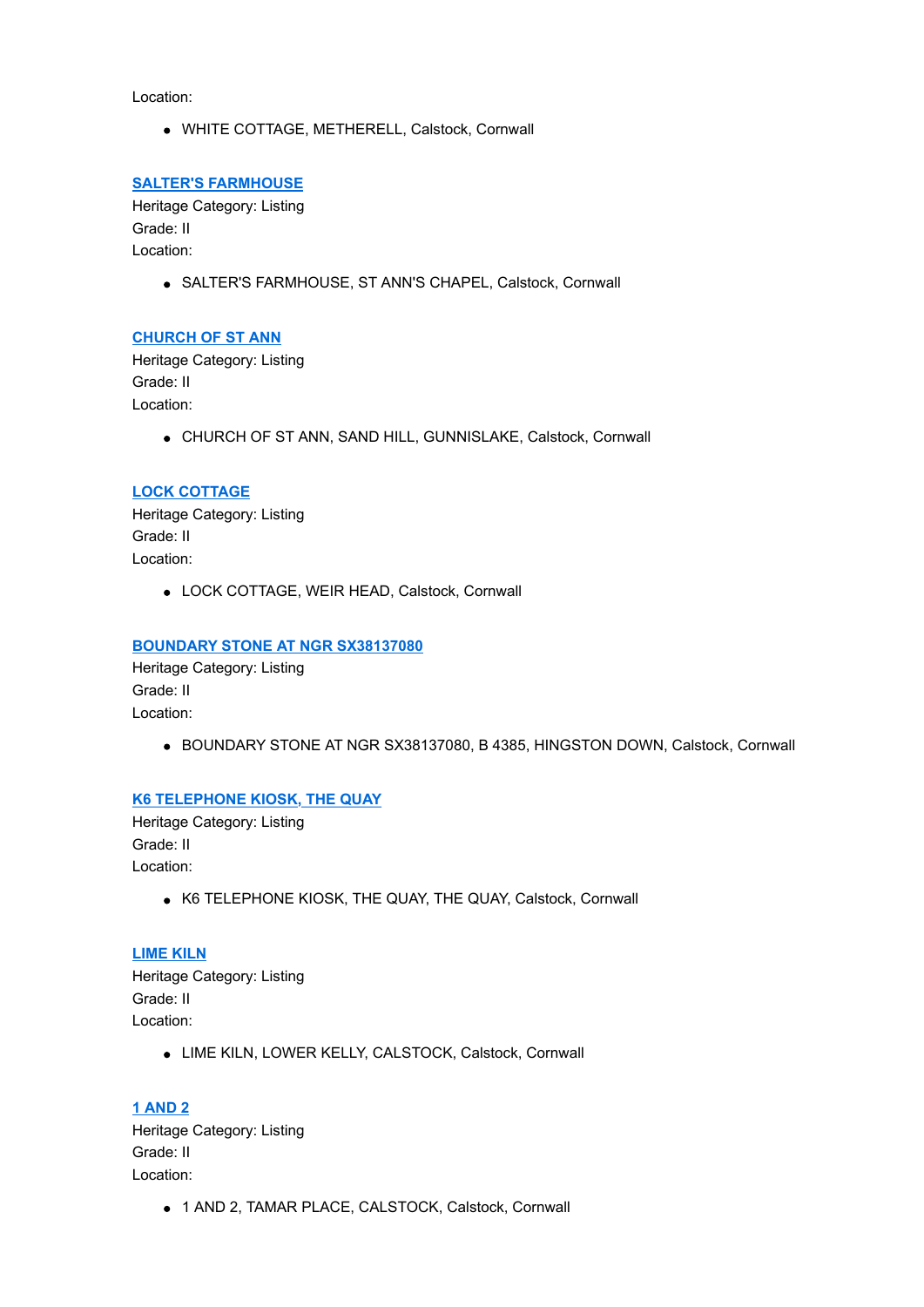Location:

WHITE COTTAGE, METHERELL, Calstock, Cornwall

#### **[SALTER'S FARMHOUSE](http://www.historicengland.org.uk/listing/the-list/list-entry/1158163)**

Heritage Category: Listing Grade: II Location:

SALTER'S FARMHOUSE, ST ANN'S CHAPEL, Calstock, Cornwall

#### **[CHURCH OF ST ANN](http://www.historicengland.org.uk/listing/the-list/list-entry/1158176)**

Heritage Category: Listing Grade: II Location:

CHURCH OF ST ANN, SAND HILL, GUNNISLAKE, Calstock, Cornwall

#### **[LOCK COTTAGE](http://www.historicengland.org.uk/listing/the-list/list-entry/1158203)**

Heritage Category: Listing Grade: II Location:

LOCK COTTAGE, WEIR HEAD, Calstock, Cornwall

#### **[BOUNDARY STONE AT NGR SX38137080](http://www.historicengland.org.uk/listing/the-list/list-entry/1220386)**

Heritage Category: Listing Grade: II Location:

BOUNDARY STONE AT NGR SX38137080, B 4385, HINGSTON DOWN, Calstock, Cornwall

### **[K6 TELEPHONE KIOSK, THE QUAY](http://www.historicengland.org.uk/listing/the-list/list-entry/1249312)**

Heritage Category: Listing Grade: II Location:

K6 TELEPHONE KIOSK, THE QUAY, THE QUAY, Calstock, Cornwall

#### **[LIME KILN](http://www.historicengland.org.uk/listing/the-list/list-entry/1249313)**

Heritage Category: Listing Grade: II Location:

LIME KILN, LOWER KELLY, CALSTOCK, Calstock, Cornwall

**[1 AND 2](http://www.historicengland.org.uk/listing/the-list/list-entry/1311612)** Heritage Category: Listing Grade: II Location:

1 AND 2, TAMAR PLACE, CALSTOCK, Calstock, Cornwall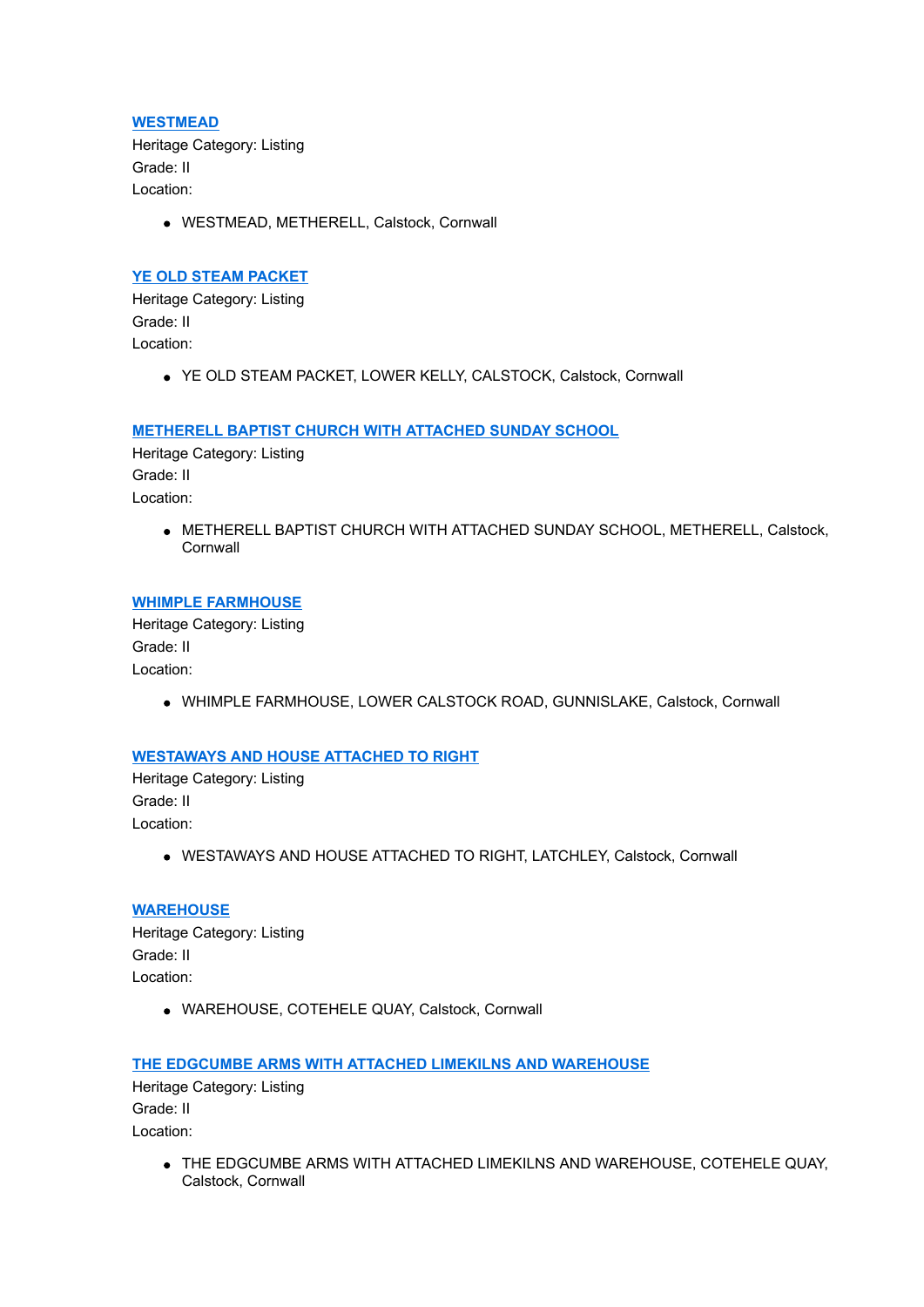**[WESTMEAD](http://www.historicengland.org.uk/listing/the-list/list-entry/1311625)** Heritage Category: Listing Grade: II Location:

WESTMEAD, METHERELL, Calstock, Cornwall

### **[YE OLD STEAM PACKET](http://www.historicengland.org.uk/listing/the-list/list-entry/1311643)**

Heritage Category: Listing Grade: II Location:

YE OLD STEAM PACKET, LOWER KELLY, CALSTOCK, Calstock, Cornwall

### **[METHERELL BAPTIST CHURCH WITH ATTACHED SUNDAY SCHOOL](http://www.historicengland.org.uk/listing/the-list/list-entry/1311655)**

Heritage Category: Listing Grade: II Location:

> METHERELL BAPTIST CHURCH WITH ATTACHED SUNDAY SCHOOL, METHERELL, Calstock, **Cornwall**

### **[WHIMPLE FARMHOUSE](http://www.historicengland.org.uk/listing/the-list/list-entry/1311666)**

Heritage Category: Listing Grade: II Location:

WHIMPLE FARMHOUSE, LOWER CALSTOCK ROAD, GUNNISLAKE, Calstock, Cornwall

### **[WESTAWAYS AND HOUSE ATTACHED TO RIGHT](http://www.historicengland.org.uk/listing/the-list/list-entry/1311691)**

Heritage Category: Listing Grade: II Location:

WESTAWAYS AND HOUSE ATTACHED TO RIGHT, LATCHLEY, Calstock, Cornwall

# **[WAREHOUSE](http://www.historicengland.org.uk/listing/the-list/list-entry/1311739)**

Heritage Category: Listing Grade: II Location:

WAREHOUSE, COTEHELE QUAY, Calstock, Cornwall

**[THE EDGCUMBE ARMS WITH ATTACHED LIMEKILNS AND WAREHOUSE](http://www.historicengland.org.uk/listing/the-list/list-entry/1311769)**

Heritage Category: Listing Grade: II Location:

> THE EDGCUMBE ARMS WITH ATTACHED LIMEKILNS AND WAREHOUSE, COTEHELE QUAY, Calstock, Cornwall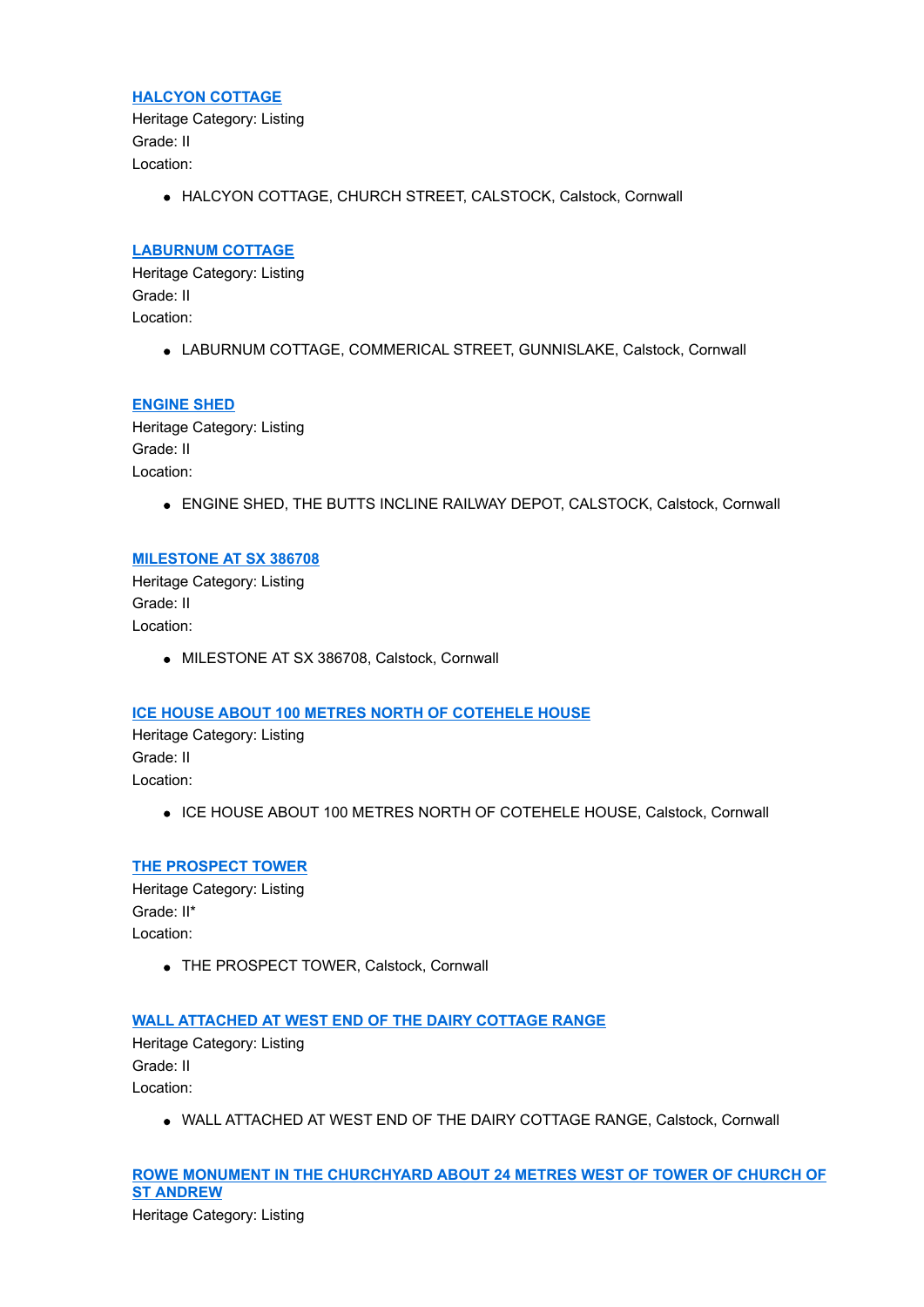#### **[HALCYON COTTAGE](http://www.historicengland.org.uk/listing/the-list/list-entry/1311827)**

Heritage Category: Listing Grade: II Location:

HALCYON COTTAGE, CHURCH STREET, CALSTOCK, Calstock, Cornwall

# **[LABURNUM COTTAGE](http://www.historicengland.org.uk/listing/the-list/list-entry/1311833)**

Heritage Category: Listing Grade: II Location:

• LABURNUM COTTAGE, COMMERICAL STREET, GUNNISLAKE, Calstock, Cornwall

### **[ENGINE SHED](http://www.historicengland.org.uk/listing/the-list/list-entry/1311912)**

Heritage Category: Listing Grade: II Location:

ENGINE SHED, THE BUTTS INCLINE RAILWAY DEPOT, CALSTOCK, Calstock, Cornwall

### **[MILESTONE AT SX 386708](http://www.historicengland.org.uk/listing/the-list/list-entry/1311956)**

Heritage Category: Listing Grade: II Location:

MILESTONE AT SX 386708, Calstock, Cornwall

# **[ICE HOUSE ABOUT 100 METRES NORTH OF COTEHELE HOUSE](http://www.historicengland.org.uk/listing/the-list/list-entry/1311981)**

Heritage Category: Listing Grade: II Location:

• ICE HOUSE ABOUT 100 METRES NORTH OF COTEHELE HOUSE, Calstock, Cornwall

### **[THE PROSPECT TOWER](http://www.historicengland.org.uk/listing/the-list/list-entry/1311985)**

Heritage Category: Listing Grade: II\* Location:

THE PROSPECT TOWER, Calstock, Cornwall

### **[WALL ATTACHED AT WEST END OF THE DAIRY COTTAGE RANGE](http://www.historicengland.org.uk/listing/the-list/list-entry/1312010)**

Heritage Category: Listing Grade: II Location:

WALL ATTACHED AT WEST END OF THE DAIRY COTTAGE RANGE, Calstock, Cornwall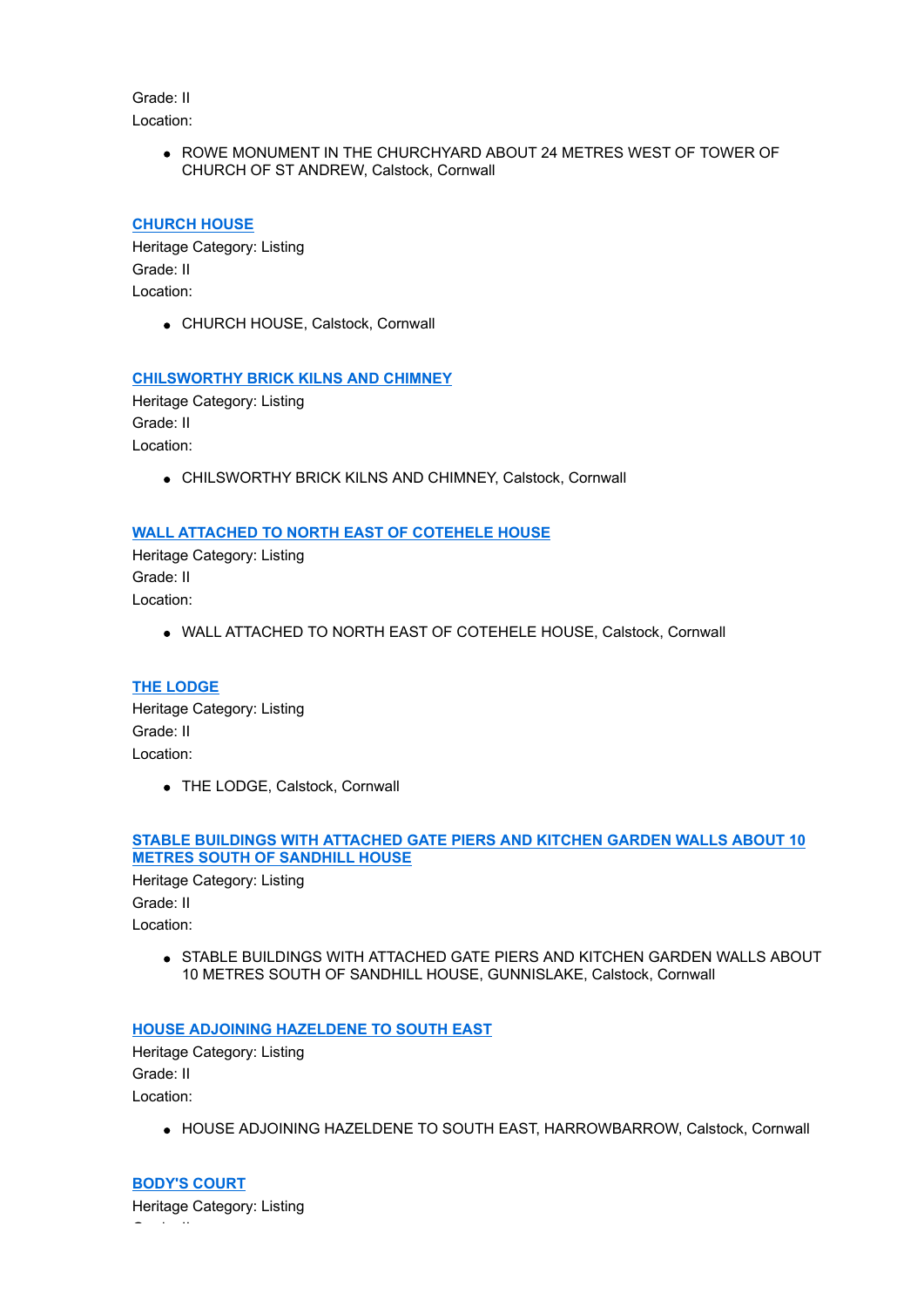Grade: II Location:

> • ROWE MONUMENT IN THE CHURCHYARD ABOUT 24 METRES WEST OF TOWER OF CHURCH OF ST ANDREW, Calstock, Cornwall

# **[CHURCH HOUSE](http://www.historicengland.org.uk/listing/the-list/list-entry/1312042)**

Heritage Category: Listing Grade: II Location:

CHURCH HOUSE, Calstock, Cornwall

### **[CHILSWORTHY BRICK KILNS AND CHIMNEY](http://www.historicengland.org.uk/listing/the-list/list-entry/1312076)**

Heritage Category: Listing Grade: II Location:

CHILSWORTHY BRICK KILNS AND CHIMNEY, Calstock, Cornwall

### **[WALL ATTACHED TO NORTH EAST OF COTEHELE HOUSE](http://www.historicengland.org.uk/listing/the-list/list-entry/1329312)**

Heritage Category: Listing Grade: II Location:

WALL ATTACHED TO NORTH EAST OF COTEHELE HOUSE, Calstock, Cornwall

### **[THE LODGE](http://www.historicengland.org.uk/listing/the-list/list-entry/1329313)**

Heritage Category: Listing Grade: II Location:

THE LODGE, Calstock, Cornwall

### **[STABLE BUILDINGS WITH ATTACHED GATE PIERS AND KITCHEN GARDEN WALLS ABOUT 10](http://www.historicengland.org.uk/listing/the-list/list-entry/1329324) METRES SOUTH OF SANDHILL HOUSE**

Heritage Category: Listing Grade: II Location:

> **STABLE BUILDINGS WITH ATTACHED GATE PIERS AND KITCHEN GARDEN WALLS ABOUT** 10 METRES SOUTH OF SANDHILL HOUSE, GUNNISLAKE, Calstock, Cornwall

### **[HOUSE ADJOINING HAZELDENE TO SOUTH EAST](http://www.historicengland.org.uk/listing/the-list/list-entry/1329325)**

Heritage Category: Listing Grade: II Location:

 $\bullet$  HOUSE ADJOINING HAZELDENE TO SOUTH EAST, HARROWBARROW, Calstock, Cornwall

**[BODY'S COURT](http://www.historicengland.org.uk/listing/the-list/list-entry/1329326)** Heritage Category: Listing Grade: II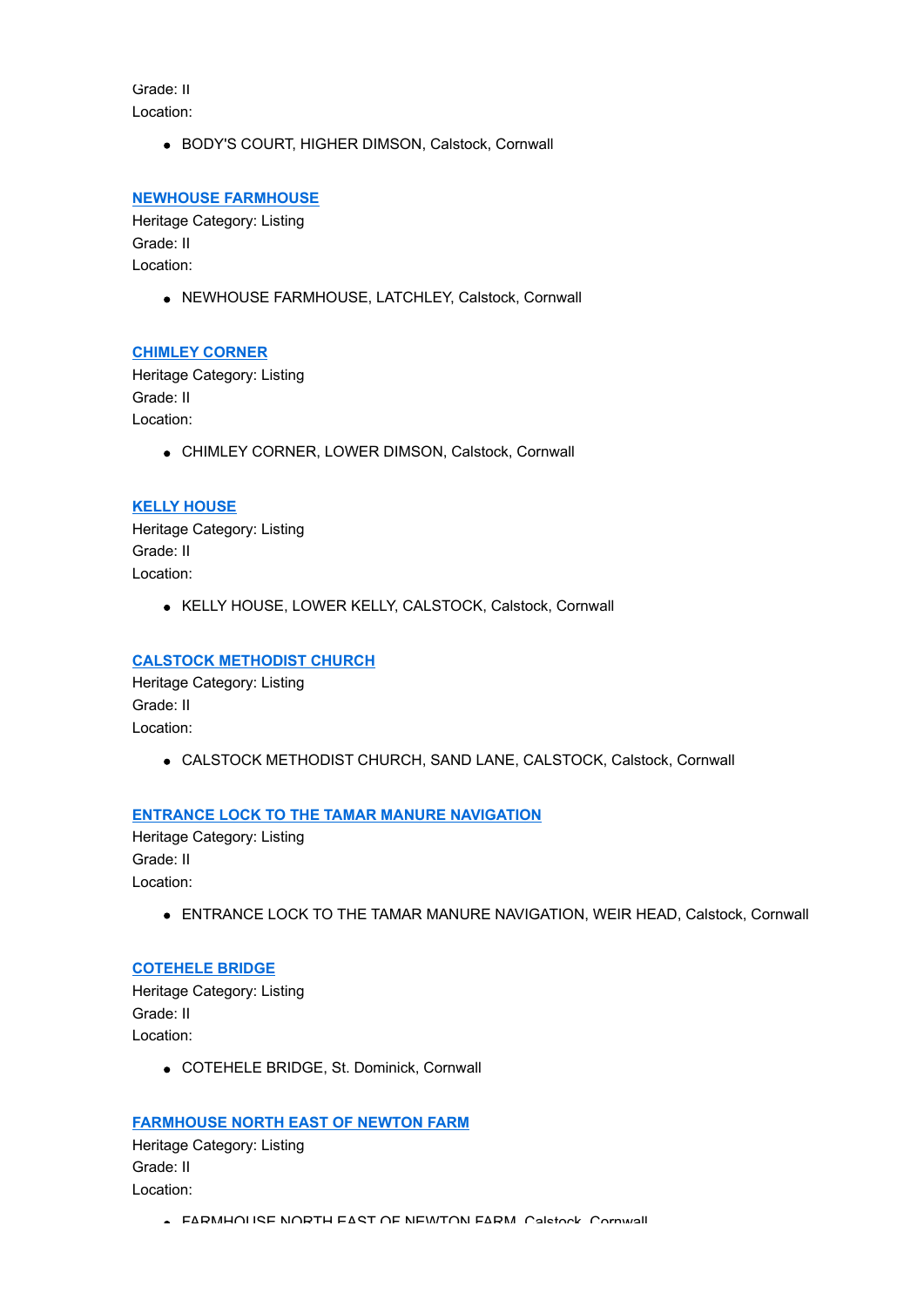Grade: II Location:

BODY'S COURT, HIGHER DIMSON, Calstock, Cornwall

### **[NEWHOUSE FARMHOUSE](http://www.historicengland.org.uk/listing/the-list/list-entry/1329327)**

Heritage Category: Listing Grade: II Location:

NEWHOUSE FARMHOUSE, LATCHLEY, Calstock, Cornwall

### **[CHIMLEY CORNER](http://www.historicengland.org.uk/listing/the-list/list-entry/1329328)**

Heritage Category: Listing Grade: II Location:

CHIMLEY CORNER, LOWER DIMSON, Calstock, Cornwall

### **[KELLY HOUSE](http://www.historicengland.org.uk/listing/the-list/list-entry/1329329)**

Heritage Category: Listing Grade: II Location:

KELLY HOUSE, LOWER KELLY, CALSTOCK, Calstock, Cornwall

# **[CALSTOCK METHODIST CHURCH](http://www.historicengland.org.uk/listing/the-list/list-entry/1329330)**

Heritage Category: Listing Grade: II Location:

CALSTOCK METHODIST CHURCH, SAND LANE, CALSTOCK, Calstock, Cornwall

### **[ENTRANCE LOCK TO THE TAMAR MANURE NAVIGATION](http://www.historicengland.org.uk/listing/the-list/list-entry/1329331)**

Heritage Category: Listing Grade: II Location:

**ENTRANCE LOCK TO THE TAMAR MANURE NAVIGATION, WEIR HEAD, Calstock, Cornwall** 

#### **[COTEHELE BRIDGE](http://www.historicengland.org.uk/listing/the-list/list-entry/1329332)**

Heritage Category: Listing Grade: II Location:

COTEHELE BRIDGE, St. Dominick, Cornwall

### **[FARMHOUSE NORTH EAST OF NEWTON FARM](http://www.historicengland.org.uk/listing/the-list/list-entry/1329333)**

Heritage Category: Listing Grade: II Location:

**FARMHOUSE NORTH EAST OF NEWTON FARM, Caletock, Cornwall**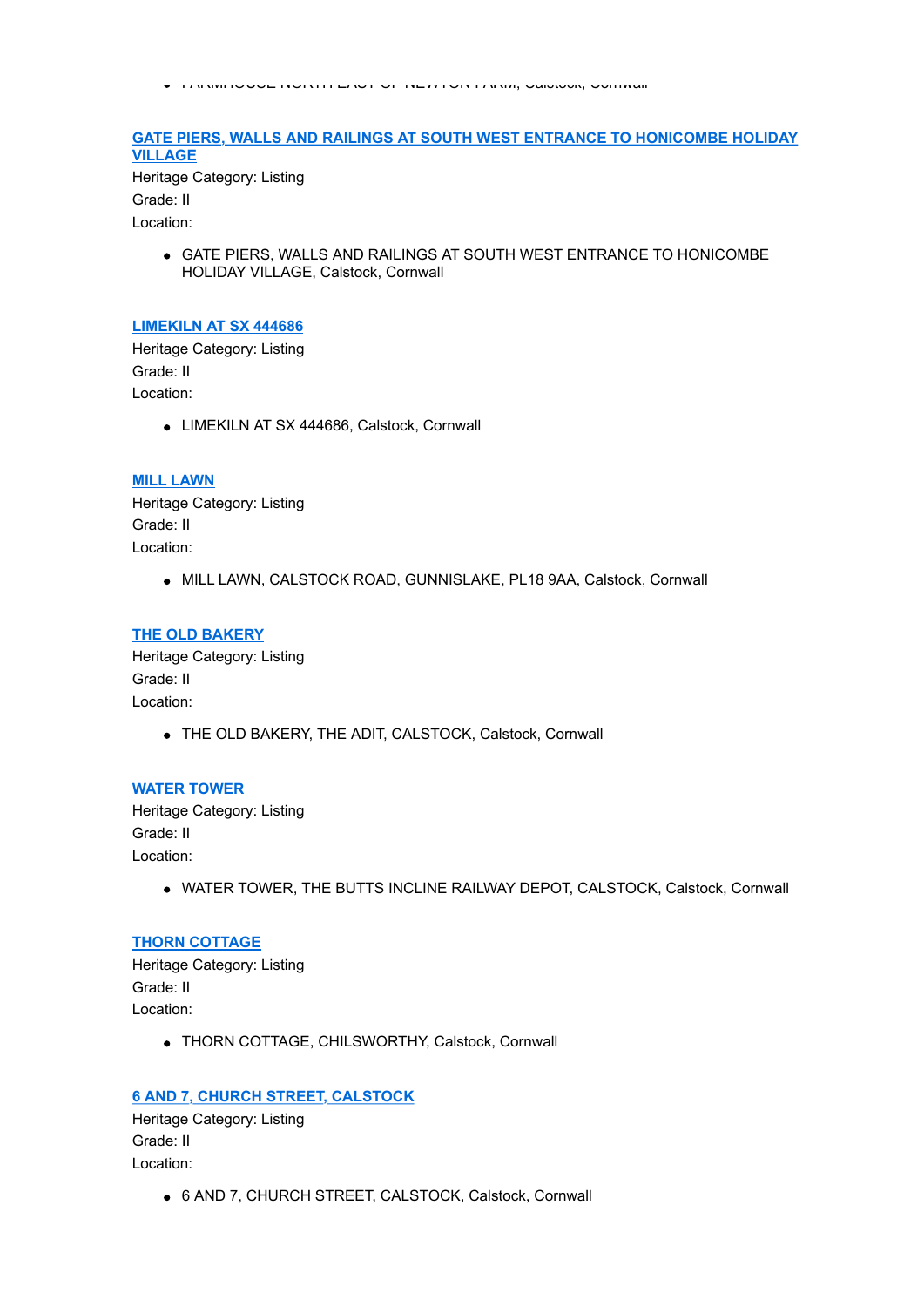FARMHOUSE NORTH EAST OF NEWTON FARM, Calstock, Cornwall

### **[GATE PIERS, WALLS AND RAILINGS AT SOUTH WEST ENTRANCE TO HONICOMBE HOLIDAY](http://www.historicengland.org.uk/listing/the-list/list-entry/1329334) VILLAGE**

Heritage Category: Listing Grade: II Location:

> GATE PIERS, WALLS AND RAILINGS AT SOUTH WEST ENTRANCE TO HONICOMBE HOLIDAY VILLAGE, Calstock, Cornwall

#### **[LIMEKILN AT SX 444686](http://www.historicengland.org.uk/listing/the-list/list-entry/1329335)**

Heritage Category: Listing Grade: II Location:

LIMEKILN AT SX 444686, Calstock, Cornwall

#### **[MILL LAWN](http://www.historicengland.org.uk/listing/the-list/list-entry/1329336)**

Heritage Category: Listing Grade: II Location:

MILL LAWN, CALSTOCK ROAD, GUNNISLAKE, PL18 9AA, Calstock, Cornwall

#### **[THE OLD BAKERY](http://www.historicengland.org.uk/listing/the-list/list-entry/1329337)**

Heritage Category: Listing Grade: II Location:

THE OLD BAKERY, THE ADIT, CALSTOCK, Calstock, Cornwall

# **[WATER TOWER](http://www.historicengland.org.uk/listing/the-list/list-entry/1329338)**

Heritage Category: Listing Grade: II Location:

WATER TOWER, THE BUTTS INCLINE RAILWAY DEPOT, CALSTOCK, Calstock, Cornwall

### **[THORN COTTAGE](http://www.historicengland.org.uk/listing/the-list/list-entry/1329339)**

Heritage Category: Listing Grade: II Location:

THORN COTTAGE, CHILSWORTHY, Calstock, Cornwall

### **[6 AND 7, CHURCH STREET, CALSTOCK](http://www.historicengland.org.uk/listing/the-list/list-entry/1329340)**

Heritage Category: Listing Grade: II Location:

6 AND 7, CHURCH STREET, CALSTOCK, Calstock, Cornwall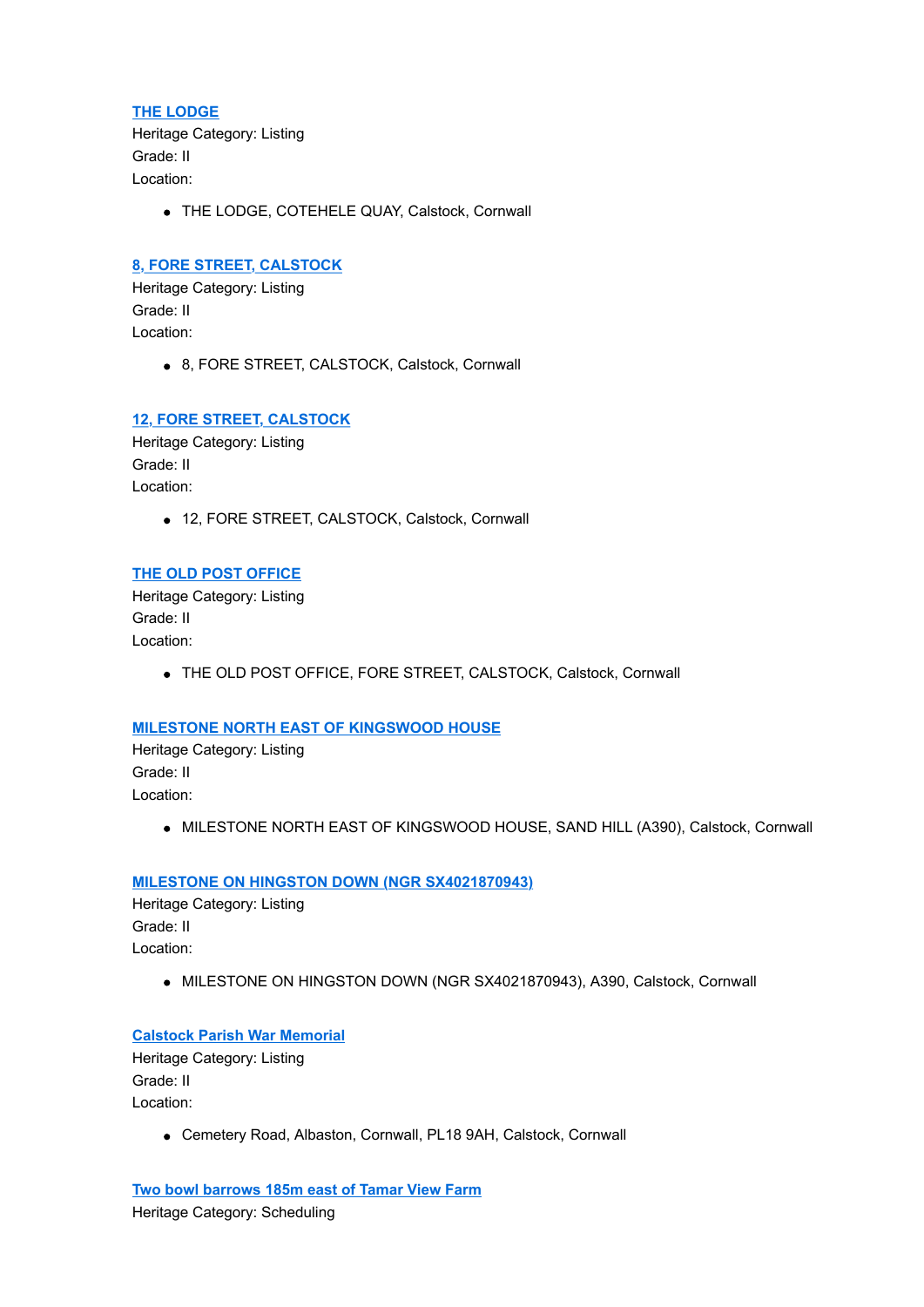#### **[THE LODGE](http://www.historicengland.org.uk/listing/the-list/list-entry/1329341)**

Heritage Category: Listing Grade: II Location:

THE LODGE, COTEHELE QUAY, Calstock, Cornwall

#### **[8, FORE STREET, CALSTOCK](http://www.historicengland.org.uk/listing/the-list/list-entry/1329360)**

Heritage Category: Listing Grade: II Location:

8, FORE STREET, CALSTOCK, Calstock, Cornwall

### **[12, FORE STREET, CALSTOCK](http://www.historicengland.org.uk/listing/the-list/list-entry/1329361)**

Heritage Category: Listing Grade: II Location:

12, FORE STREET, CALSTOCK, Calstock, Cornwall

### **[THE OLD POST OFFICE](http://www.historicengland.org.uk/listing/the-list/list-entry/1329362)**

Heritage Category: Listing Grade: II Location:

THE OLD POST OFFICE, FORE STREET, CALSTOCK, Calstock, Cornwall

### **[MILESTONE NORTH EAST OF KINGSWOOD HOUSE](http://www.historicengland.org.uk/listing/the-list/list-entry/1392529)**

Heritage Category: Listing Grade: II Location:

 $\bullet$  MILESTONE NORTH EAST OF KINGSWOOD HOUSE, SAND HILL (A390), Calstock, Cornwall

#### **[MILESTONE ON HINGSTON DOWN \(NGR SX4021870943\)](http://www.historicengland.org.uk/listing/the-list/list-entry/1392536)**

Heritage Category: Listing Grade: II Location:

 $\bullet$  MILESTONE ON HINGSTON DOWN (NGR SX4021870943), A390, Calstock, Cornwall

#### **[Calstock Parish War Memorial](http://www.historicengland.org.uk/listing/the-list/list-entry/1457583)**

Heritage Category: Listing Grade: II Location:

Cemetery Road, Albaston, Cornwall, PL18 9AH, Calstock, Cornwall

**[Two bowl barrows 185m east of Tamar View Farm](http://www.historicengland.org.uk/listing/the-list/list-entry/1004401)** Heritage Category: Scheduling